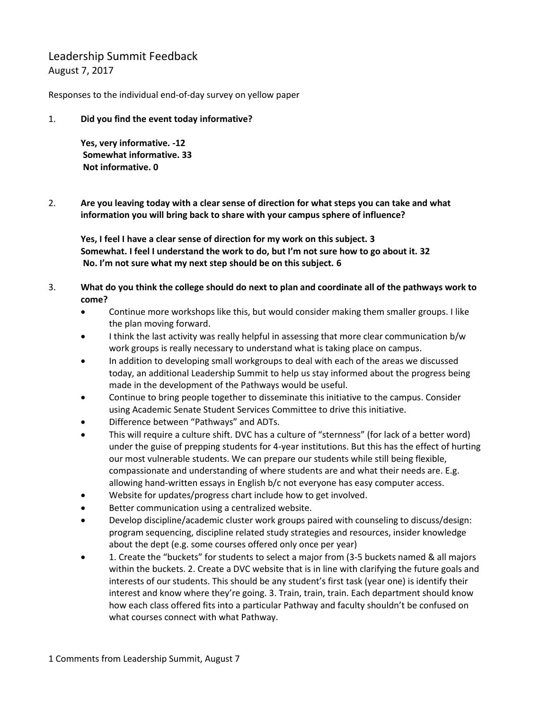Leadership Summit Feedback August 7, 2017

Responses to the individual end-of-day survey on yellow paper

1. **Did you find the event today informative?**

**Yes, very informative. -12 Somewhat informative. 33 Not informative. 0**

2. **Are you leaving today with a clear sense of direction for what steps you can take and what information you will bring back to share with your campus sphere of influence?**

**Yes, I feel I have a clear sense of direction for my work on this subject. 3 Somewhat. I feel I understand the work to do, but I'm not sure how to go about it. 32 No. I'm not sure what my next step should be on this subject. 6**

- 3. **What do you think the college should do next to plan and coordinate all of the pathways work to come?**
	- Continue more workshops like this, but would consider making them smaller groups. I like the plan moving forward.
	- I think the last activity was really helpful in assessing that more clear communication b/w work groups is really necessary to understand what is taking place on campus.
	- In addition to developing small workgroups to deal with each of the areas we discussed today, an additional Leadership Summit to help us stay informed about the progress being made in the development of the Pathways would be useful.
	- Continue to bring people together to disseminate this initiative to the campus. Consider using Academic Senate Student Services Committee to drive this initiative.
	- Difference between "Pathways" and ADTs.
	- This will require a culture shift. DVC has a culture of "sternness" (for lack of a better word) under the guise of prepping students for 4-year institutions. But this has the effect of hurting our most vulnerable students. We can prepare our students while still being flexible, compassionate and understanding of where students are and what their needs are. E.g. allowing hand-written essays in English b/c not everyone has easy computer access.
	- Website for updates/progress chart include how to get involved.
	- Better communication using a centralized website.
	- Develop discipline/academic cluster work groups paired with counseling to discuss/design: program sequencing, discipline related study strategies and resources, insider knowledge about the dept (e.g. some courses offered only once per year)
	- 1. Create the "buckets" for students to select a major from (3-5 buckets named & all majors within the buckets. 2. Create a DVC website that is in line with clarifying the future goals and interests of our students. This should be any student's first task (year one) is identify their interest and know where they're going. 3. Train, train, train. Each department should know how each class offered fits into a particular Pathway and faculty shouldn't be confused on what courses connect with what Pathway.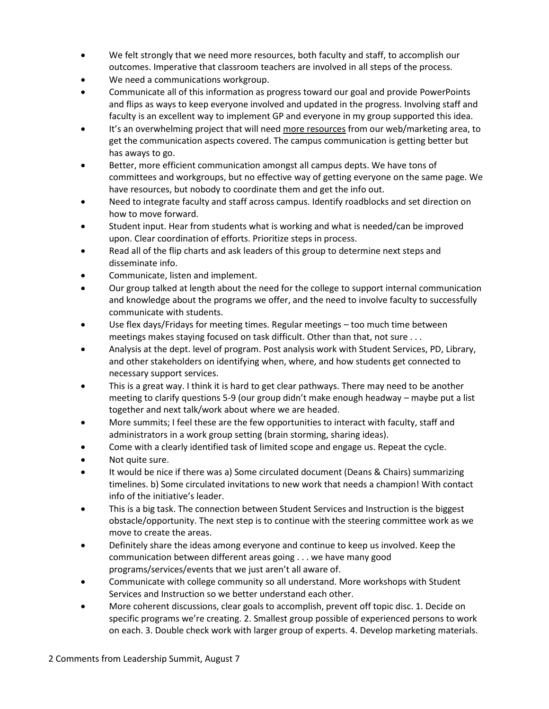- We felt strongly that we need more resources, both faculty and staff, to accomplish our outcomes. Imperative that classroom teachers are involved in all steps of the process.
- We need a communications workgroup.
- Communicate all of this information as progress toward our goal and provide PowerPoints and flips as ways to keep everyone involved and updated in the progress. Involving staff and faculty is an excellent way to implement GP and everyone in my group supported this idea.
- It's an overwhelming project that will need more resources from our web/marketing area, to get the communication aspects covered. The campus communication is getting better but has aways to go.
- Better, more efficient communication amongst all campus depts. We have tons of committees and workgroups, but no effective way of getting everyone on the same page. We have resources, but nobody to coordinate them and get the info out.
- Need to integrate faculty and staff across campus. Identify roadblocks and set direction on how to move forward.
- Student input. Hear from students what is working and what is needed/can be improved upon. Clear coordination of efforts. Prioritize steps in process.
- Read all of the flip charts and ask leaders of this group to determine next steps and disseminate info.
- Communicate, listen and implement.
- Our group talked at length about the need for the college to support internal communication and knowledge about the programs we offer, and the need to involve faculty to successfully communicate with students.
- Use flex days/Fridays for meeting times. Regular meetings too much time between meetings makes staying focused on task difficult. Other than that, not sure . . .
- Analysis at the dept. level of program. Post analysis work with Student Services, PD, Library, and other stakeholders on identifying when, where, and how students get connected to necessary support services.
- This is a great way. I think it is hard to get clear pathways. There may need to be another meeting to clarify questions 5-9 (our group didn't make enough headway – maybe put a list together and next talk/work about where we are headed.
- More summits; I feel these are the few opportunities to interact with faculty, staff and administrators in a work group setting (brain storming, sharing ideas).
- Come with a clearly identified task of limited scope and engage us. Repeat the cycle.
- Not quite sure.
- It would be nice if there was a) Some circulated document (Deans & Chairs) summarizing timelines. b) Some circulated invitations to new work that needs a champion! With contact info of the initiative's leader.
- This is a big task. The connection between Student Services and Instruction is the biggest obstacle/opportunity. The next step is to continue with the steering committee work as we move to create the areas.
- Definitely share the ideas among everyone and continue to keep us involved. Keep the communication between different areas going . . . we have many good programs/services/events that we just aren't all aware of.
- Communicate with college community so all understand. More workshops with Student Services and Instruction so we better understand each other.
- More coherent discussions, clear goals to accomplish, prevent off topic disc. 1. Decide on specific programs we're creating. 2. Smallest group possible of experienced persons to work on each. 3. Double check work with larger group of experts. 4. Develop marketing materials.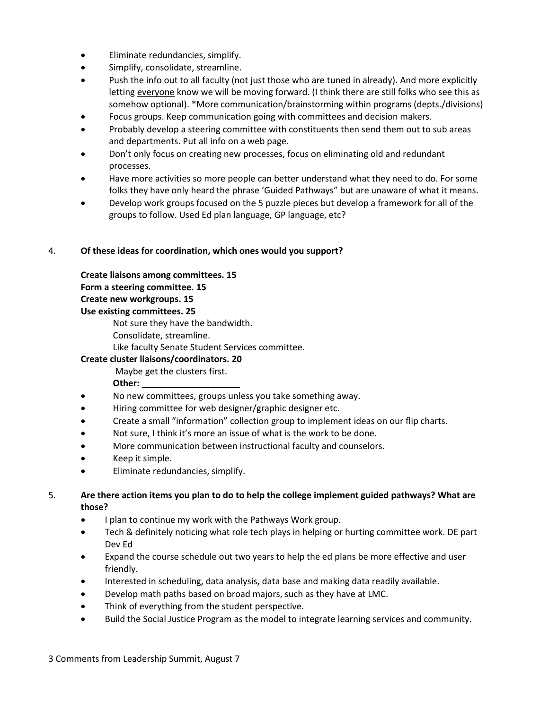- Eliminate redundancies, simplify.
- Simplify, consolidate, streamline.
- Push the info out to all faculty (not just those who are tuned in already). And more explicitly letting everyone know we will be moving forward. (I think there are still folks who see this as somehow optional). \*More communication/brainstorming within programs (depts./divisions)
- Focus groups. Keep communication going with committees and decision makers.
- Probably develop a steering committee with constituents then send them out to sub areas and departments. Put all info on a web page.
- Don't only focus on creating new processes, focus on eliminating old and redundant processes.
- Have more activities so more people can better understand what they need to do. For some folks they have only heard the phrase 'Guided Pathways" but are unaware of what it means.
- Develop work groups focused on the 5 puzzle pieces but develop a framework for all of the groups to follow. Used Ed plan language, GP language, etc?

### 4. **Of these ideas for coordination, which ones would you support?**

**Create liaisons among committees. 15**

**Form a steering committee. 15**

**Create new workgroups. 15** 

**Use existing committees. 25**

Not sure they have the bandwidth.

Consolidate, streamline.

Like faculty Senate Student Services committee.

### **Create cluster liaisons/coordinators. 20**

Maybe get the clusters first.

- **Other: \_\_\_\_\_\_\_\_\_\_\_\_\_\_\_\_\_\_\_\_**
- No new committees, groups unless you take something away.
- Hiring committee for web designer/graphic designer etc.
- Create a small "information" collection group to implement ideas on our flip charts.
- Not sure, I think it's more an issue of what is the work to be done.
- More communication between instructional faculty and counselors.
- Keep it simple.
- Eliminate redundancies, simplify.

### 5. **Are there action items you plan to do to help the college implement guided pathways? What are those?**

- I plan to continue my work with the Pathways Work group.
- Tech & definitely noticing what role tech plays in helping or hurting committee work. DE part Dev Ed
- Expand the course schedule out two years to help the ed plans be more effective and user friendly.
- Interested in scheduling, data analysis, data base and making data readily available.
- Develop math paths based on broad majors, such as they have at LMC.
- Think of everything from the student perspective.
- Build the Social Justice Program as the model to integrate learning services and community.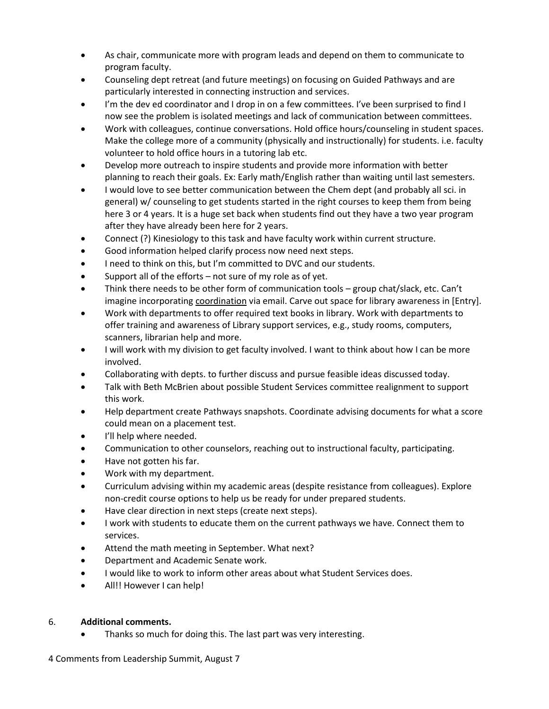- As chair, communicate more with program leads and depend on them to communicate to program faculty.
- Counseling dept retreat (and future meetings) on focusing on Guided Pathways and are particularly interested in connecting instruction and services.
- I'm the dev ed coordinator and I drop in on a few committees. I've been surprised to find I now see the problem is isolated meetings and lack of communication between committees.
- Work with colleagues, continue conversations. Hold office hours/counseling in student spaces. Make the college more of a community (physically and instructionally) for students. i.e. faculty volunteer to hold office hours in a tutoring lab etc.
- Develop more outreach to inspire students and provide more information with better planning to reach their goals. Ex: Early math/English rather than waiting until last semesters.
- I would love to see better communication between the Chem dept (and probably all sci. in general) w/ counseling to get students started in the right courses to keep them from being here 3 or 4 years. It is a huge set back when students find out they have a two year program after they have already been here for 2 years.
- Connect (?) Kinesiology to this task and have faculty work within current structure.
- Good information helped clarify process now need next steps.
- I need to think on this, but I'm committed to DVC and our students.
- Support all of the efforts not sure of my role as of yet.
- Think there needs to be other form of communication tools group chat/slack, etc. Can't imagine incorporating coordination via email. Carve out space for library awareness in [Entry].
- Work with departments to offer required text books in library. Work with departments to offer training and awareness of Library support services, e.g., study rooms, computers, scanners, librarian help and more.
- I will work with my division to get faculty involved. I want to think about how I can be more involved.
- Collaborating with depts. to further discuss and pursue feasible ideas discussed today.
- Talk with Beth McBrien about possible Student Services committee realignment to support this work.
- Help department create Pathways snapshots. Coordinate advising documents for what a score could mean on a placement test.
- I'll help where needed.
- Communication to other counselors, reaching out to instructional faculty, participating.
- Have not gotten his far.
- Work with my department.
- Curriculum advising within my academic areas (despite resistance from colleagues). Explore non-credit course options to help us be ready for under prepared students.
- Have clear direction in next steps (create next steps).
- I work with students to educate them on the current pathways we have. Connect them to services.
- Attend the math meeting in September. What next?
- Department and Academic Senate work.
- I would like to work to inform other areas about what Student Services does.
- All!! However I can help!

### 6. **Additional comments.**

Thanks so much for doing this. The last part was very interesting.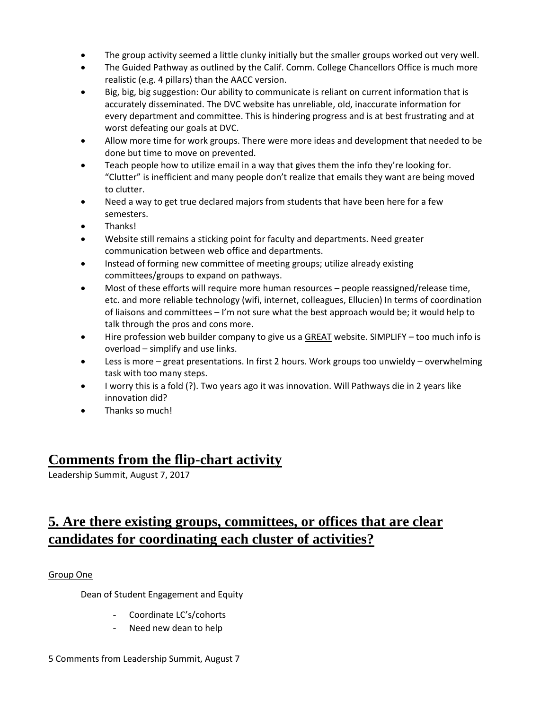- The group activity seemed a little clunky initially but the smaller groups worked out very well.
- The Guided Pathway as outlined by the Calif. Comm. College Chancellors Office is much more realistic (e.g. 4 pillars) than the AACC version.
- Big, big, big suggestion: Our ability to communicate is reliant on current information that is accurately disseminated. The DVC website has unreliable, old, inaccurate information for every department and committee. This is hindering progress and is at best frustrating and at worst defeating our goals at DVC.
- Allow more time for work groups. There were more ideas and development that needed to be done but time to move on prevented.
- Teach people how to utilize email in a way that gives them the info they're looking for. "Clutter" is inefficient and many people don't realize that emails they want are being moved to clutter.
- Need a way to get true declared majors from students that have been here for a few semesters.
- Thanks!
- Website still remains a sticking point for faculty and departments. Need greater communication between web office and departments.
- Instead of forming new committee of meeting groups; utilize already existing committees/groups to expand on pathways.
- Most of these efforts will require more human resources people reassigned/release time, etc. and more reliable technology (wifi, internet, colleagues, Ellucien) In terms of coordination of liaisons and committees  $-1$ 'm not sure what the best approach would be; it would help to talk through the pros and cons more.
- Hire profession web builder company to give us a GREAT website. SIMPLIFY too much info is overload – simplify and use links.
- Less is more great presentations. In first 2 hours. Work groups too unwieldy overwhelming task with too many steps.
- I worry this is a fold (?). Two years ago it was innovation. Will Pathways die in 2 years like innovation did?
- Thanks so much!

## **Comments from the flip-chart activity**

Leadership Summit, August 7, 2017

## **5. Are there existing groups, committees, or offices that are clear candidates for coordinating each cluster of activities?**

### Group One

Dean of Student Engagement and Equity

- Coordinate LC's/cohorts
- Need new dean to help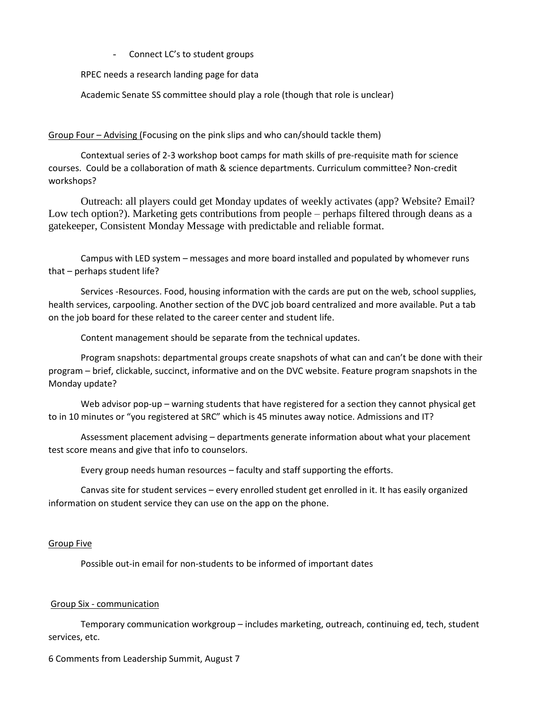- Connect LC's to student groups

RPEC needs a research landing page for data

Academic Senate SS committee should play a role (though that role is unclear)

Group Four – Advising (Focusing on the pink slips and who can/should tackle them)

Contextual series of 2-3 workshop boot camps for math skills of pre-requisite math for science courses. Could be a collaboration of math & science departments. Curriculum committee? Non-credit workshops?

Outreach: all players could get Monday updates of weekly activates (app? Website? Email? Low tech option?). Marketing gets contributions from people – perhaps filtered through deans as a gatekeeper, Consistent Monday Message with predictable and reliable format.

Campus with LED system – messages and more board installed and populated by whomever runs that – perhaps student life?

Services -Resources. Food, housing information with the cards are put on the web, school supplies, health services, carpooling. Another section of the DVC job board centralized and more available. Put a tab on the job board for these related to the career center and student life.

Content management should be separate from the technical updates.

Program snapshots: departmental groups create snapshots of what can and can't be done with their program – brief, clickable, succinct, informative and on the DVC website. Feature program snapshots in the Monday update?

Web advisor pop-up – warning students that have registered for a section they cannot physical get to in 10 minutes or "you registered at SRC" which is 45 minutes away notice. Admissions and IT?

Assessment placement advising – departments generate information about what your placement test score means and give that info to counselors.

Every group needs human resources – faculty and staff supporting the efforts.

Canvas site for student services – every enrolled student get enrolled in it. It has easily organized information on student service they can use on the app on the phone.

### Group Five

Possible out-in email for non-students to be informed of important dates

### Group Six - communication

Temporary communication workgroup – includes marketing, outreach, continuing ed, tech, student services, etc.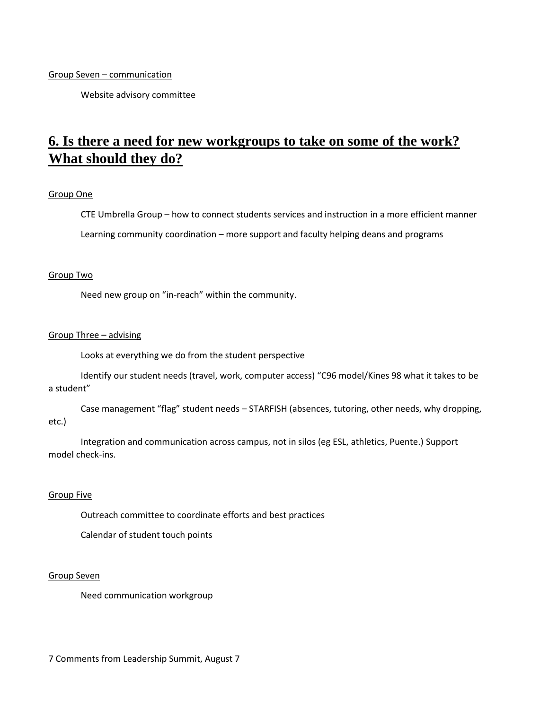Group Seven – communication

Website advisory committee

# **6. Is there a need for new workgroups to take on some of the work? What should they do?**

### Group One

CTE Umbrella Group – how to connect students services and instruction in a more efficient manner Learning community coordination – more support and faculty helping deans and programs

### Group Two

Need new group on "in-reach" within the community.

### Group Three – advising

Looks at everything we do from the student perspective

Identify our student needs (travel, work, computer access) "C96 model/Kines 98 what it takes to be a student"

Case management "flag" student needs – STARFISH (absences, tutoring, other needs, why dropping, etc.)

Integration and communication across campus, not in silos (eg ESL, athletics, Puente.) Support model check-ins.

### Group Five

Outreach committee to coordinate efforts and best practices

Calendar of student touch points

### Group Seven

Need communication workgroup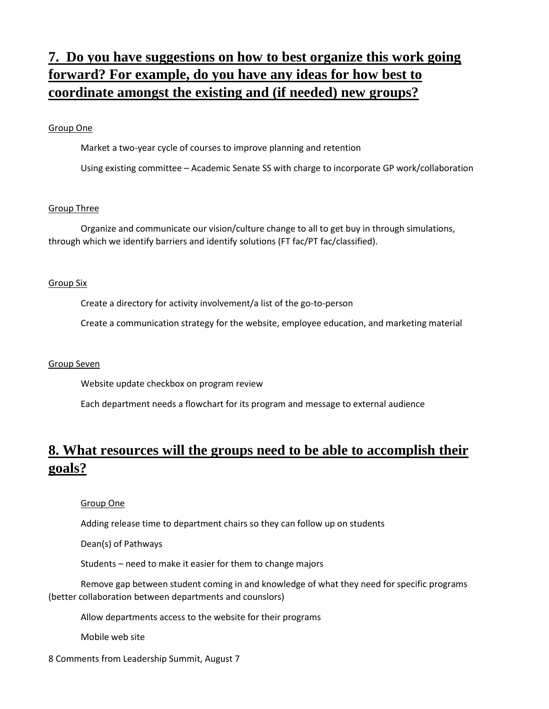# **7. Do you have suggestions on how to best organize this work going forward? For example, do you have any ideas for how best to coordinate amongst the existing and (if needed) new groups?**

### Group One

Market a two-year cycle of courses to improve planning and retention

Using existing committee – Academic Senate SS with charge to incorporate GP work/collaboration

### Group Three

Organize and communicate our vision/culture change to all to get buy in through simulations, through which we identify barriers and identify solutions (FT fac/PT fac/classified).

### Group Six

Create a directory for activity involvement/a list of the go-to-person

Create a communication strategy for the website, employee education, and marketing material

### Group Seven

Website update checkbox on program review

Each department needs a flowchart for its program and message to external audience

### **8. What resources will the groups need to be able to accomplish their goals?**

Group One

Adding release time to department chairs so they can follow up on students

Dean(s) of Pathways

Students – need to make it easier for them to change majors

Remove gap between student coming in and knowledge of what they need for specific programs (better collaboration between departments and counslors)

Allow departments access to the website for their programs

Mobile web site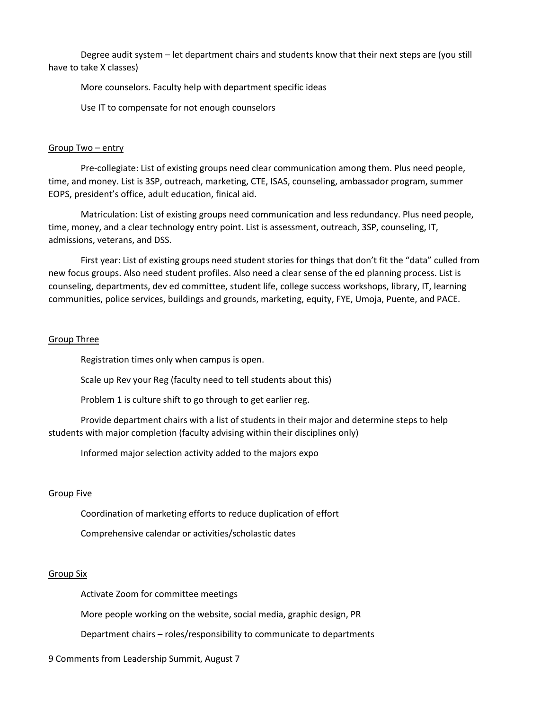Degree audit system – let department chairs and students know that their next steps are (you still have to take X classes)

More counselors. Faculty help with department specific ideas

Use IT to compensate for not enough counselors

### Group Two – entry

Pre-collegiate: List of existing groups need clear communication among them. Plus need people, time, and money. List is 3SP, outreach, marketing, CTE, ISAS, counseling, ambassador program, summer EOPS, president's office, adult education, finical aid.

Matriculation: List of existing groups need communication and less redundancy. Plus need people, time, money, and a clear technology entry point. List is assessment, outreach, 3SP, counseling, IT, admissions, veterans, and DSS.

First year: List of existing groups need student stories for things that don't fit the "data" culled from new focus groups. Also need student profiles. Also need a clear sense of the ed planning process. List is counseling, departments, dev ed committee, student life, college success workshops, library, IT, learning communities, police services, buildings and grounds, marketing, equity, FYE, Umoja, Puente, and PACE.

### Group Three

Registration times only when campus is open.

Scale up Rev your Reg (faculty need to tell students about this)

Problem 1 is culture shift to go through to get earlier reg.

Provide department chairs with a list of students in their major and determine steps to help students with major completion (faculty advising within their disciplines only)

Informed major selection activity added to the majors expo

#### Group Five

Coordination of marketing efforts to reduce duplication of effort

Comprehensive calendar or activities/scholastic dates

#### Group Six

Activate Zoom for committee meetings

More people working on the website, social media, graphic design, PR

Department chairs – roles/responsibility to communicate to departments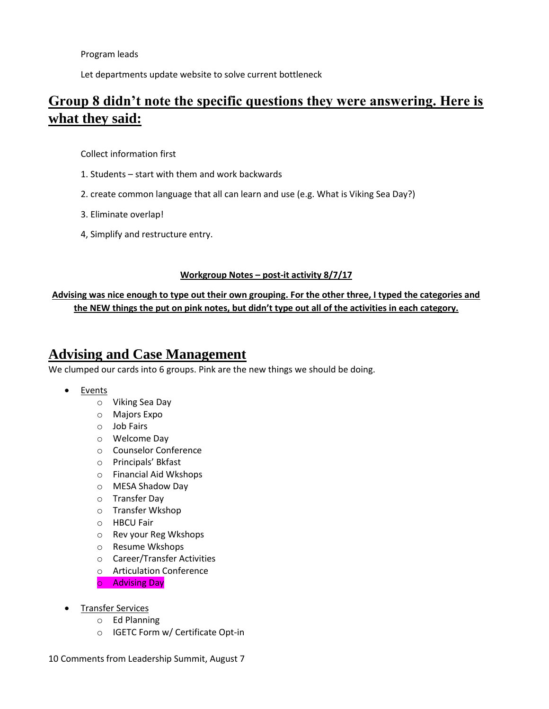Program leads

Let departments update website to solve current bottleneck

# **Group 8 didn't note the specific questions they were answering. Here is what they said:**

Collect information first

- 1. Students start with them and work backwards
- 2. create common language that all can learn and use (e.g. What is Viking Sea Day?)
- 3. Eliminate overlap!
- 4, Simplify and restructure entry.

### **Workgroup Notes – post-it activity 8/7/17**

**Advising was nice enough to type out their own grouping. For the other three, I typed the categories and the NEW things the put on pink notes, but didn't type out all of the activities in each category.**

### **Advising and Case Management**

We clumped our cards into 6 groups. Pink are the new things we should be doing.

- Events
	- o Viking Sea Day
	- o Majors Expo
	- o Job Fairs
	- o Welcome Day
	- o Counselor Conference
	- o Principals' Bkfast
	- o Financial Aid Wkshops
	- o MESA Shadow Day
	- o Transfer Day
	- o Transfer Wkshop
	- o HBCU Fair
	- o Rev your Reg Wkshops
	- o Resume Wkshops
	- o Career/Transfer Activities
	- o Articulation Conference
	- o Advising Day
- Transfer Services
	- o Ed Planning
	- o IGETC Form w/ Certificate Opt-in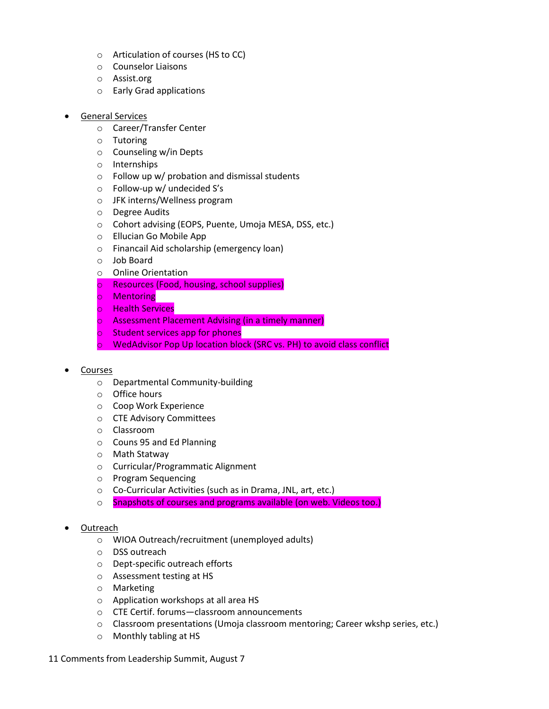- o Articulation of courses (HS to CC)
- o Counselor Liaisons
- o Assist.org
- o Early Grad applications
- General Services
	- o Career/Transfer Center
	- o Tutoring
	- o Counseling w/in Depts
	- o Internships
	- o Follow up w/ probation and dismissal students
	- o Follow-up w/ undecided S's
	- o JFK interns/Wellness program
	- o Degree Audits
	- o Cohort advising (EOPS, Puente, Umoja MESA, DSS, etc.)
	- o Ellucian Go Mobile App
	- o Financail Aid scholarship (emergency loan)
	- o Job Board
	- o Online Orientation
	- o Resources (Food, housing, school supplies)
	- o Mentoring
	- o Health Services
	- o Assessment Placement Advising (in a timely manner)
	- o Student services app for phones
	- o WedAdvisor Pop Up location block (SRC vs. PH) to avoid class conflict
- Courses
	- o Departmental Community-building
	- o Office hours
	- o Coop Work Experience
	- o CTE Advisory Committees
	- o Classroom
	- o Couns 95 and Ed Planning
	- o Math Statway
	- o Curricular/Programmatic Alignment
	- o Program Sequencing
	- o Co-Curricular Activities (such as in Drama, JNL, art, etc.)
	- o Snapshots of courses and programs available (on web. Videos too.)

### Outreach

- o WIOA Outreach/recruitment (unemployed adults)
- o DSS outreach
- o Dept-specific outreach efforts
- o Assessment testing at HS
- o Marketing
- o Application workshops at all area HS
- o CTE Certif. forums—classroom announcements
- o Classroom presentations (Umoja classroom mentoring; Career wkshp series, etc.)
- o Monthly tabling at HS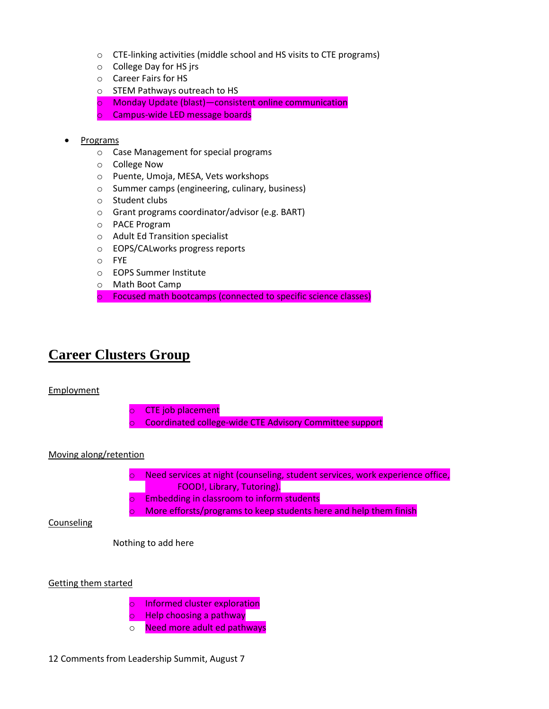- o CTE-linking activities (middle school and HS visits to CTE programs)
- o College Day for HS jrs
- o Career Fairs for HS
- o STEM Pathways outreach to HS
- o Monday Update (blast)—consistent online communication
- o Campus-wide LED message boards
- Programs
	- o Case Management for special programs
	- o College Now
	- o Puente, Umoja, MESA, Vets workshops
	- o Summer camps (engineering, culinary, business)
	- o Student clubs
	- o Grant programs coordinator/advisor (e.g. BART)
	- o PACE Program
	- o Adult Ed Transition specialist
	- o EOPS/CALworks progress reports
	- o FYE
	- o EOPS Summer Institute
	- o Math Boot Camp
	- o Focused math bootcamps (connected to specific science classes)

## **Career Clusters Group**

### Employment



o Need more adult ed pathways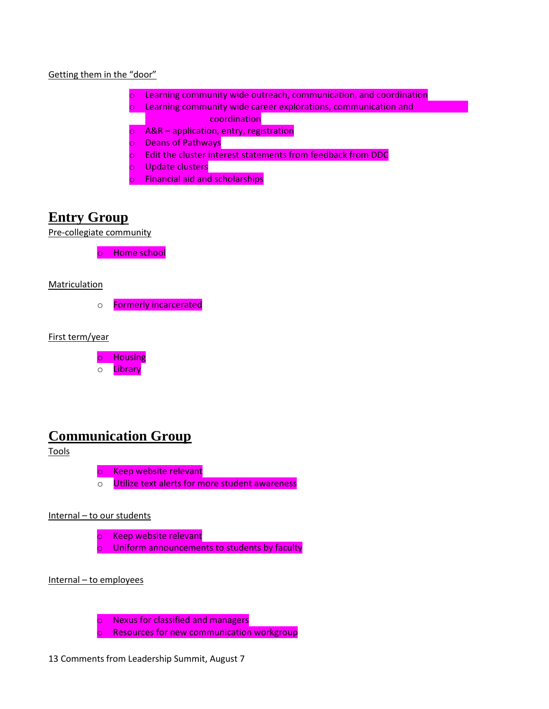

- o Learning community wide outreach, communication, and coordination
- o Learning community wide career explorations, communication and coordination  $\sim$
- $\circ$  A&R application, entry, registration
- o Deans of Pathways
- o Edit the cluster interest statements from feedback from DDC
- o Update clusters
- o Financial aid and scholarships

## **Entry Group**

Pre-collegiate community

o Home school

### **Matriculation**

o Formerly incarcerated

First term/year

o Housing o **Library** 

### **Communication Group**

Tools

o Keep website relevant o Utilize text alerts for more student awareness

### Internal – to our students

o Keep website relevant o Uniform announcements to students by faculty

Internal – to employees

o Nexus for classified and managers

o Resources for new communication workgroup